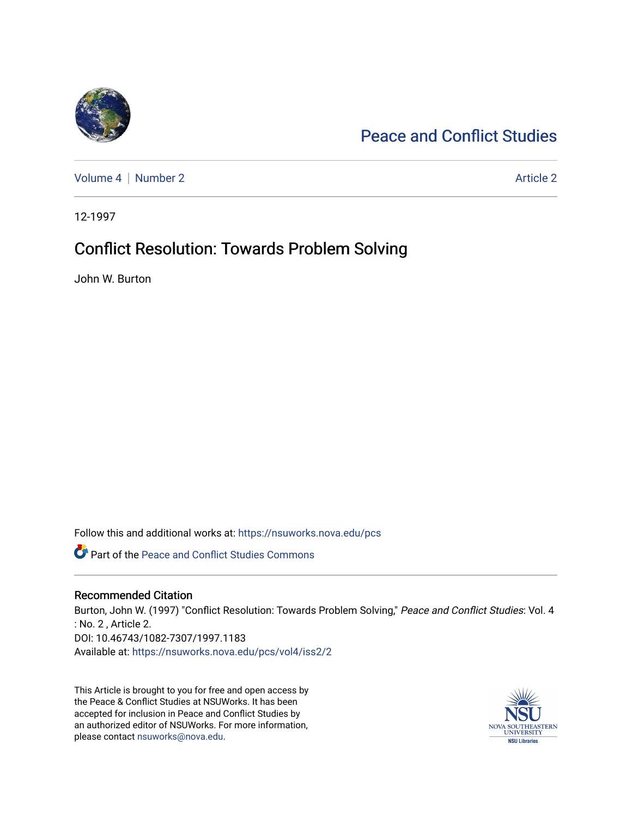

# [Peace and Conflict Studies](https://nsuworks.nova.edu/pcs)

[Volume 4](https://nsuworks.nova.edu/pcs/vol4) | [Number 2](https://nsuworks.nova.edu/pcs/vol4/iss2) Article 2

12-1997

# Conflict Resolution: Towards Problem Solving

John W. Burton

Follow this and additional works at: [https://nsuworks.nova.edu/pcs](https://nsuworks.nova.edu/pcs?utm_source=nsuworks.nova.edu%2Fpcs%2Fvol4%2Fiss2%2F2&utm_medium=PDF&utm_campaign=PDFCoverPages)

Part of the [Peace and Conflict Studies Commons](http://network.bepress.com/hgg/discipline/397?utm_source=nsuworks.nova.edu%2Fpcs%2Fvol4%2Fiss2%2F2&utm_medium=PDF&utm_campaign=PDFCoverPages) 

## Recommended Citation

Burton, John W. (1997) "Conflict Resolution: Towards Problem Solving," Peace and Conflict Studies: Vol. 4 : No. 2 , Article 2. DOI: 10.46743/1082-7307/1997.1183 Available at: [https://nsuworks.nova.edu/pcs/vol4/iss2/2](https://nsuworks.nova.edu/pcs/vol4/iss2/2?utm_source=nsuworks.nova.edu%2Fpcs%2Fvol4%2Fiss2%2F2&utm_medium=PDF&utm_campaign=PDFCoverPages) 

This Article is brought to you for free and open access by the Peace & Conflict Studies at NSUWorks. It has been accepted for inclusion in Peace and Conflict Studies by an authorized editor of NSUWorks. For more information, please contact [nsuworks@nova.edu](mailto:nsuworks@nova.edu).

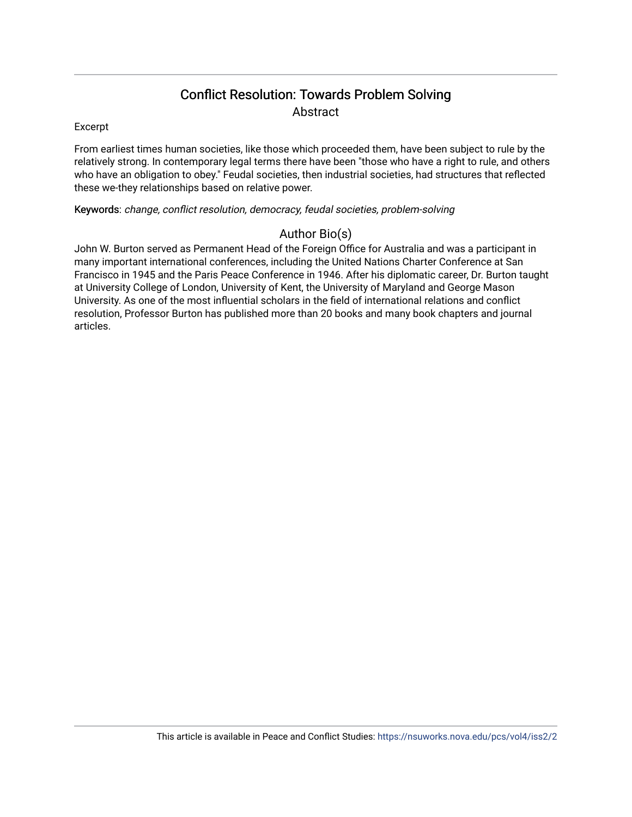## Conflict Resolution: Towards Problem Solving **Abstract**

### Excerpt

From earliest times human societies, like those which proceeded them, have been subject to rule by the relatively strong. In contemporary legal terms there have been "those who have a right to rule, and others who have an obligation to obey." Feudal societies, then industrial societies, had structures that reflected these we-they relationships based on relative power.

### Keywords: change, conflict resolution, democracy, feudal societies, problem-solving

## Author Bio(s)

John W. Burton served as Permanent Head of the Foreign Office for Australia and was a participant in many important international conferences, including the United Nations Charter Conference at San Francisco in 1945 and the Paris Peace Conference in 1946. After his diplomatic career, Dr. Burton taught at University College of London, University of Kent, the University of Maryland and George Mason University. As one of the most influential scholars in the field of international relations and conflict resolution, Professor Burton has published more than 20 books and many book chapters and journal articles.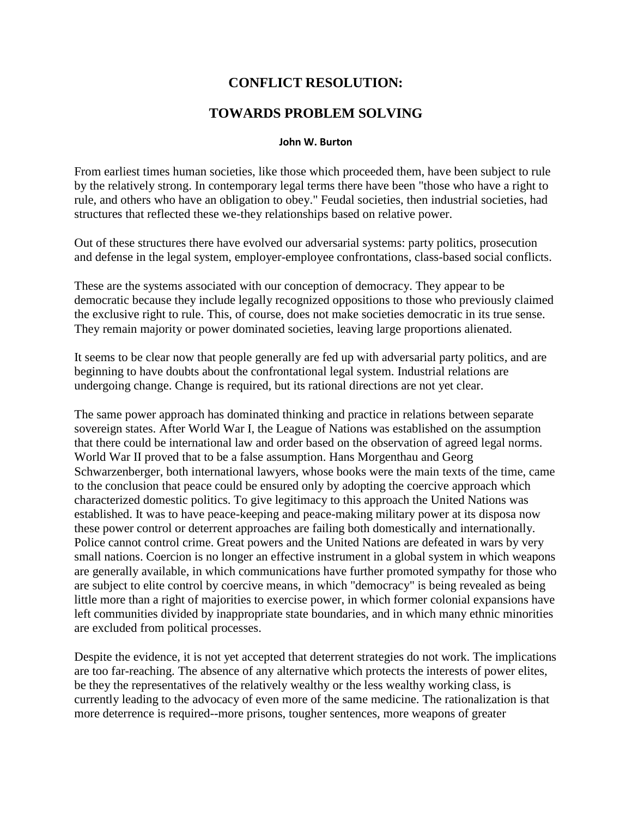## **CONFLICT RESOLUTION:**

## **TOWARDS PROBLEM SOLVING**

### **John W. Burton**

From earliest times human societies, like those which proceeded them, have been subject to rule by the relatively strong. In contemporary legal terms there have been "those who have a right to rule, and others who have an obligation to obey." Feudal societies, then industrial societies, had structures that reflected these we-they relationships based on relative power.

Out of these structures there have evolved our adversarial systems: party politics, prosecution and defense in the legal system, employer-employee confrontations, class-based social conflicts.

These are the systems associated with our conception of democracy. They appear to be democratic because they include legally recognized oppositions to those who previously claimed the exclusive right to rule. This, of course, does not make societies democratic in its true sense. They remain majority or power dominated societies, leaving large proportions alienated.

It seems to be clear now that people generally are fed up with adversarial party politics, and are beginning to have doubts about the confrontational legal system. Industrial relations are undergoing change. Change is required, but its rational directions are not yet clear.

The same power approach has dominated thinking and practice in relations between separate sovereign states. After World War I, the League of Nations was established on the assumption that there could be international law and order based on the observation of agreed legal norms. World War II proved that to be a false assumption. Hans Morgenthau and Georg Schwarzenberger, both international lawyers, whose books were the main texts of the time, came to the conclusion that peace could be ensured only by adopting the coercive approach which characterized domestic politics. To give legitimacy to this approach the United Nations was established. It was to have peace-keeping and peace-making military power at its disposa now these power control or deterrent approaches are failing both domestically and internationally. Police cannot control crime. Great powers and the United Nations are defeated in wars by very small nations. Coercion is no longer an effective instrument in a global system in which weapons are generally available, in which communications have further promoted sympathy for those who are subject to elite control by coercive means, in which "democracy" is being revealed as being little more than a right of majorities to exercise power, in which former colonial expansions have left communities divided by inappropriate state boundaries, and in which many ethnic minorities are excluded from political processes.

Despite the evidence, it is not yet accepted that deterrent strategies do not work. The implications are too far-reaching. The absence of any alternative which protects the interests of power elites, be they the representatives of the relatively wealthy or the less wealthy working class, is currently leading to the advocacy of even more of the same medicine. The rationalization is that more deterrence is required--more prisons, tougher sentences, more weapons of greater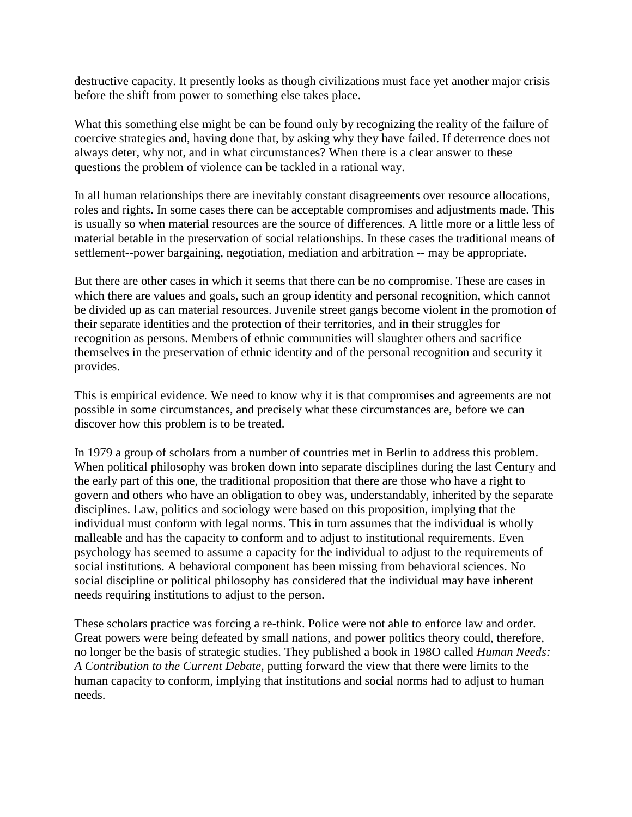destructive capacity. It presently looks as though civilizations must face yet another major crisis before the shift from power to something else takes place.

What this something else might be can be found only by recognizing the reality of the failure of coercive strategies and, having done that, by asking why they have failed. If deterrence does not always deter, why not, and in what circumstances? When there is a clear answer to these questions the problem of violence can be tackled in a rational way.

In all human relationships there are inevitably constant disagreements over resource allocations, roles and rights. In some cases there can be acceptable compromises and adjustments made. This is usually so when material resources are the source of differences. A little more or a little less of material betable in the preservation of social relationships. In these cases the traditional means of settlement--power bargaining, negotiation, mediation and arbitration -- may be appropriate.

But there are other cases in which it seems that there can be no compromise. These are cases in which there are values and goals, such an group identity and personal recognition, which cannot be divided up as can material resources. Juvenile street gangs become violent in the promotion of their separate identities and the protection of their territories, and in their struggles for recognition as persons. Members of ethnic communities will slaughter others and sacrifice themselves in the preservation of ethnic identity and of the personal recognition and security it provides.

This is empirical evidence. We need to know why it is that compromises and agreements are not possible in some circumstances, and precisely what these circumstances are, before we can discover how this problem is to be treated.

In 1979 a group of scholars from a number of countries met in Berlin to address this problem. When political philosophy was broken down into separate disciplines during the last Century and the early part of this one, the traditional proposition that there are those who have a right to govern and others who have an obligation to obey was, understandably, inherited by the separate disciplines. Law, politics and sociology were based on this proposition, implying that the individual must conform with legal norms. This in turn assumes that the individual is wholly malleable and has the capacity to conform and to adjust to institutional requirements. Even psychology has seemed to assume a capacity for the individual to adjust to the requirements of social institutions. A behavioral component has been missing from behavioral sciences. No social discipline or political philosophy has considered that the individual may have inherent needs requiring institutions to adjust to the person.

These scholars practice was forcing a re-think. Police were not able to enforce law and order. Great powers were being defeated by small nations, and power politics theory could, therefore, no longer be the basis of strategic studies. They published a book in 198O called *Human Needs: A Contribution to the Current Debate*, putting forward the view that there were limits to the human capacity to conform, implying that institutions and social norms had to adjust to human needs.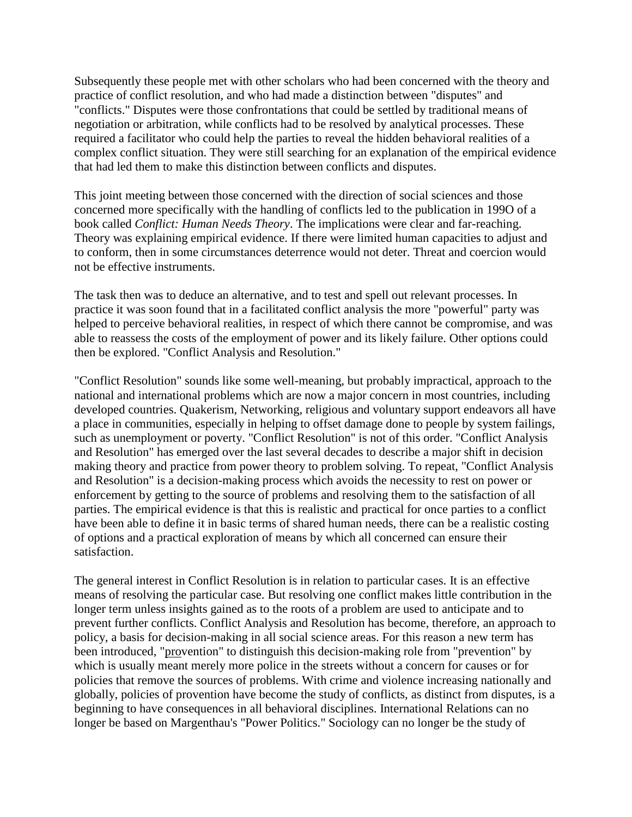Subsequently these people met with other scholars who had been concerned with the theory and practice of conflict resolution, and who had made a distinction between "disputes" and "conflicts." Disputes were those confrontations that could be settled by traditional means of negotiation or arbitration, while conflicts had to be resolved by analytical processes. These required a facilitator who could help the parties to reveal the hidden behavioral realities of a complex conflict situation. They were still searching for an explanation of the empirical evidence that had led them to make this distinction between conflicts and disputes.

This joint meeting between those concerned with the direction of social sciences and those concerned more specifically with the handling of conflicts led to the publication in 199O of a book called *Conflict: Human Needs Theory*. The implications were clear and far-reaching. Theory was explaining empirical evidence. If there were limited human capacities to adjust and to conform, then in some circumstances deterrence would not deter. Threat and coercion would not be effective instruments.

The task then was to deduce an alternative, and to test and spell out relevant processes. In practice it was soon found that in a facilitated conflict analysis the more "powerful" party was helped to perceive behavioral realities, in respect of which there cannot be compromise, and was able to reassess the costs of the employment of power and its likely failure. Other options could then be explored. "Conflict Analysis and Resolution."

"Conflict Resolution" sounds like some well-meaning, but probably impractical, approach to the national and international problems which are now a major concern in most countries, including developed countries. Quakerism, Networking, religious and voluntary support endeavors all have a place in communities, especially in helping to offset damage done to people by system failings, such as unemployment or poverty. "Conflict Resolution" is not of this order. "Conflict Analysis and Resolution" has emerged over the last several decades to describe a major shift in decision making theory and practice from power theory to problem solving. To repeat, "Conflict Analysis and Resolution" is a decision-making process which avoids the necessity to rest on power or enforcement by getting to the source of problems and resolving them to the satisfaction of all parties. The empirical evidence is that this is realistic and practical for once parties to a conflict have been able to define it in basic terms of shared human needs, there can be a realistic costing of options and a practical exploration of means by which all concerned can ensure their satisfaction.

The general interest in Conflict Resolution is in relation to particular cases. It is an effective means of resolving the particular case. But resolving one conflict makes little contribution in the longer term unless insights gained as to the roots of a problem are used to anticipate and to prevent further conflicts. Conflict Analysis and Resolution has become, therefore, an approach to policy, a basis for decision-making in all social science areas. For this reason a new term has been introduced, "provention" to distinguish this decision-making role from "prevention" by which is usually meant merely more police in the streets without a concern for causes or for policies that remove the sources of problems. With crime and violence increasing nationally and globally, policies of provention have become the study of conflicts, as distinct from disputes, is a beginning to have consequences in all behavioral disciplines. International Relations can no longer be based on Margenthau's "Power Politics." Sociology can no longer be the study of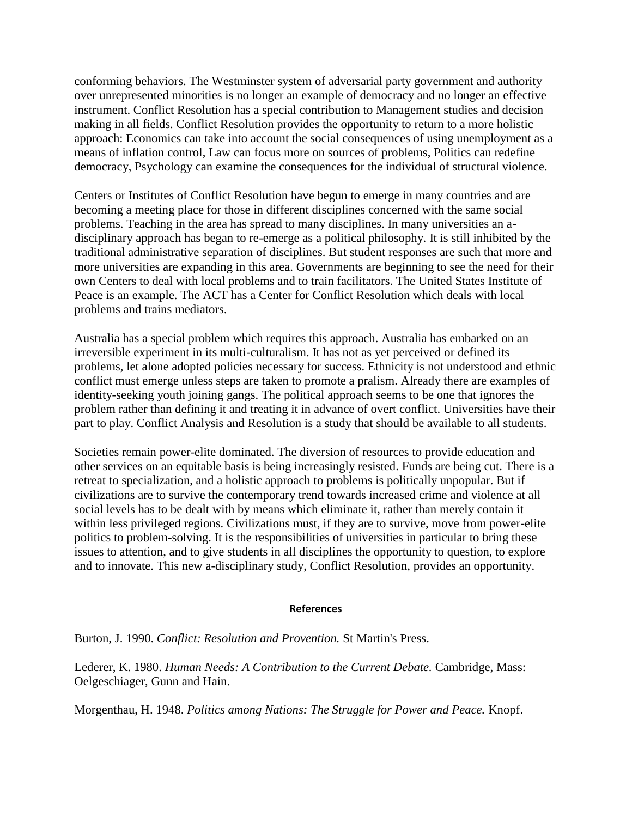conforming behaviors. The Westminster system of adversarial party government and authority over unrepresented minorities is no longer an example of democracy and no longer an effective instrument. Conflict Resolution has a special contribution to Management studies and decision making in all fields. Conflict Resolution provides the opportunity to return to a more holistic approach: Economics can take into account the social consequences of using unemployment as a means of inflation control, Law can focus more on sources of problems, Politics can redefine democracy, Psychology can examine the consequences for the individual of structural violence.

Centers or Institutes of Conflict Resolution have begun to emerge in many countries and are becoming a meeting place for those in different disciplines concerned with the same social problems. Teaching in the area has spread to many disciplines. In many universities an adisciplinary approach has began to re-emerge as a political philosophy. It is still inhibited by the traditional administrative separation of disciplines. But student responses are such that more and more universities are expanding in this area. Governments are beginning to see the need for their own Centers to deal with local problems and to train facilitators. The United States Institute of Peace is an example. The ACT has a Center for Conflict Resolution which deals with local problems and trains mediators.

Australia has a special problem which requires this approach. Australia has embarked on an irreversible experiment in its multi-culturalism. It has not as yet perceived or defined its problems, let alone adopted policies necessary for success. Ethnicity is not understood and ethnic conflict must emerge unless steps are taken to promote a pralism. Already there are examples of identity-seeking youth joining gangs. The political approach seems to be one that ignores the problem rather than defining it and treating it in advance of overt conflict. Universities have their part to play. Conflict Analysis and Resolution is a study that should be available to all students.

Societies remain power-elite dominated. The diversion of resources to provide education and other services on an equitable basis is being increasingly resisted. Funds are being cut. There is a retreat to specialization, and a holistic approach to problems is politically unpopular. But if civilizations are to survive the contemporary trend towards increased crime and violence at all social levels has to be dealt with by means which eliminate it, rather than merely contain it within less privileged regions. Civilizations must, if they are to survive, move from power-elite politics to problem-solving. It is the responsibilities of universities in particular to bring these issues to attention, and to give students in all disciplines the opportunity to question, to explore and to innovate. This new a-disciplinary study, Conflict Resolution, provides an opportunity.

#### **References**

Burton, J. 1990. *Conflict: Resolution and Provention.* St Martin's Press.

Lederer, K. 1980. *Human Needs: A Contribution to the Current Debate.* Cambridge, Mass: Oelgeschiager, Gunn and Hain.

Morgenthau, H. 1948. *Politics among Nations: The Struggle for Power and Peace.* Knopf.